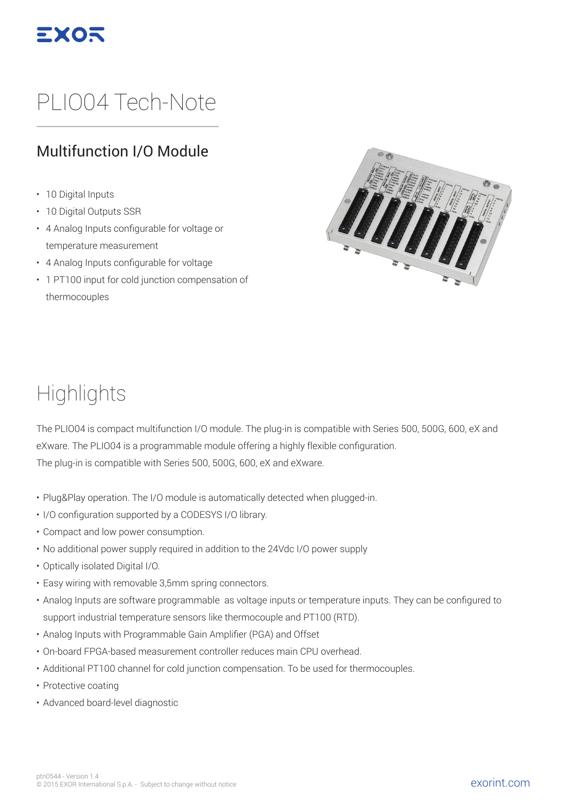

# PLIO04 Tech-Note

#### Multifunction I/O Module

- 10 Digital Inputs
- 10 Digital Outputs SSR
- 4 Analog Inputs configurable for voltage or temperature measurement
- 4 Analog Inputs configurable for voltage
- 1 PT100 input for cold junction compensation of thermocouples



### **Highlights**

The PLIO04 is compact multifunction I/O module. The plug-in is compatible with Series 500, 500G, 600, eX and eXware. The PLIO04 is a programmable module offering a highly flexible configuration. The plug-in is compatible with Series 500, 500G, 600, eX and eXware.

- Plug&Play operation. The I/O module is automatically detected when plugged-in.
- I/O configuration supported by a CODESYS I/O library.
- Compact and low power consumption.
- No additional power supply required in addition to the 24Vdc I/O power supply
- Optically isolated Digital I/O.
- Easy wiring with removable 3,5mm spring connectors.
- Analog Inputs are software programmable as voltage inputs or temperature inputs. They can be configured to support industrial temperature sensors like thermocouple and PT100 (RTD).
- Analog Inputs with Programmable Gain Amplifier (PGA) and Offset
- On-board FPGA-based measurement controller reduces main CPU overhead.
- Additional PT100 channel for cold junction compensation. To be used for thermocouples.
- Protective coating
- Advanced board-level diagnostic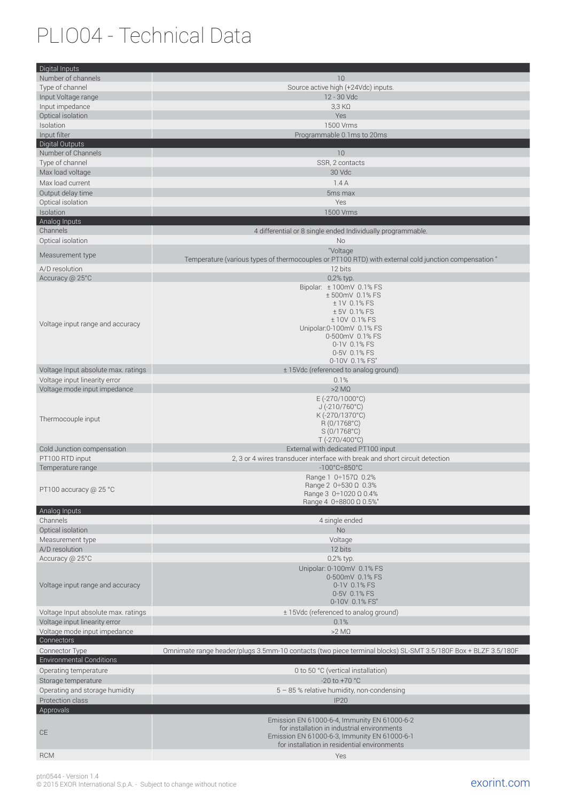# PLIO04 - Technical Data

| Digital Inputs                                                       |                                                                                                               |
|----------------------------------------------------------------------|---------------------------------------------------------------------------------------------------------------|
| Number of channels                                                   | 10                                                                                                            |
| Type of channel                                                      | Source active high (+24Vdc) inputs.                                                                           |
| Input Voltage range                                                  | 12 - 30 Vdc                                                                                                   |
| Input impedance                                                      | 3,3 K <sub>2</sub>                                                                                            |
| Optical isolation                                                    | Yes                                                                                                           |
| Isolation                                                            | 1500 Vrms                                                                                                     |
| Input filter                                                         | Programmable 0.1ms to 20ms                                                                                    |
| Digital Outputs<br>Number of Channels                                | 10                                                                                                            |
| Type of channel                                                      | SSR, 2 contacts                                                                                               |
| Max load voltage                                                     | 30 Vdc                                                                                                        |
| Max load current                                                     | 1.4A                                                                                                          |
| Output delay time                                                    | 5 <sub>ms</sub> max                                                                                           |
| Optical isolation                                                    | Yes                                                                                                           |
| Isolation                                                            | 1500 Vrms                                                                                                     |
| Analog Inputs                                                        |                                                                                                               |
| Channels                                                             | 4 differential or 8 single ended Individually programmable.                                                   |
| Optical isolation                                                    | <b>No</b>                                                                                                     |
| Measurement type                                                     | "Voltage                                                                                                      |
|                                                                      | Temperature (various types of thermocouples or PT100 RTD) with external cold junction compensation "          |
| A/D resolution<br>Accuracy @ 25°C                                    | 12 bits<br>0,2% typ.                                                                                          |
|                                                                      | Bipolar: ±100mV 0.1% FS                                                                                       |
|                                                                      | ±500mV 0.1% FS                                                                                                |
|                                                                      | ± 1V 0.1% FS                                                                                                  |
|                                                                      | ± 5V 0.1% FS                                                                                                  |
| Voltage input range and accuracy                                     | ±10V 0.1% FS<br>Unipolar:0-100mV 0.1% FS                                                                      |
|                                                                      | 0-500mV 0.1% FS                                                                                               |
|                                                                      | 0-1V 0.1% FS                                                                                                  |
|                                                                      | 0-5V 0.1% FS                                                                                                  |
| Voltage Input absolute max. ratings                                  | 0-10V 0.1% FS"<br>± 15Vdc (referenced to analog ground)                                                       |
| Voltage input linearity error                                        | 0.1%                                                                                                          |
| Voltage mode input impedance                                         | $>2$ M $\Omega$                                                                                               |
|                                                                      | $E (-270/1000°C)$                                                                                             |
|                                                                      | $J (-210/760^{\circ}C)$                                                                                       |
| Thermocouple input                                                   | K (-270/1370°C)<br>R (0/1768°C)                                                                               |
|                                                                      | S (0/1768°C)                                                                                                  |
|                                                                      | T (-270/400°C)                                                                                                |
| Cold Junction compensation                                           | External with dedicated PT100 input                                                                           |
| PT100 RTD input                                                      | 2, 3 or 4 wires transducer interface with break and short circuit detection                                   |
| Temperature range                                                    | $-100^{\circ}$ C $\div$ 850 $^{\circ}$ C                                                                      |
|                                                                      | Range 1 0÷157Ω 0.2%<br>Range 2 $0 \div 530 \Omega$ 0.3%                                                       |
| PT100 accuracy @ 25 °C                                               | Range $3 \ 0:1020 \ \Omega \ 0.4\%$                                                                           |
|                                                                      | Range 4 0÷8800 Ω 0.5%"                                                                                        |
| Analog Inputs                                                        |                                                                                                               |
| Channels                                                             | 4 single ended                                                                                                |
| Optical isolation<br>Measurement type                                | <b>No</b><br>Voltage                                                                                          |
| A/D resolution                                                       | 12 bits                                                                                                       |
| Accuracy @ 25°C                                                      | 0,2% typ.                                                                                                     |
|                                                                      | Unipolar: 0-100mV 0.1% FS                                                                                     |
|                                                                      | 0-500mV 0.1% FS                                                                                               |
| Voltage input range and accuracy                                     | 0-1V 0.1% FS                                                                                                  |
|                                                                      | 0-5V 0.1% FS                                                                                                  |
|                                                                      | 0-10V 0.1% FS"<br>± 15Vdc (referenced to analog ground)                                                       |
| Voltage Input absolute max. ratings<br>Voltage input linearity error | 0.1%                                                                                                          |
| Voltage mode input impedance                                         | $>2$ M $\Omega$                                                                                               |
| Connectors                                                           |                                                                                                               |
| Connector Type                                                       | Omnimate range header/plugs 3.5mm-10 contacts (two piece terminal blocks) SL-SMT 3.5/180F Box + BLZF 3.5/180F |
| <b>Environmental Conditions</b>                                      |                                                                                                               |
| Operating temperature                                                | 0 to 50 °C (vertical installation)                                                                            |
| Storage temperature                                                  | $-20$ to $+70$ °C                                                                                             |
| Operating and storage humidity                                       | $5 - 85$ % relative humidity, non-condensing                                                                  |
| Protection class                                                     | <b>IP20</b>                                                                                                   |
| Approvals                                                            |                                                                                                               |
|                                                                      | Emission EN 61000-6-4, Immunity EN 61000-6-2<br>for installation in industrial environments                   |
| CE                                                                   | Emission EN 61000-6-3, Immunity EN 61000-6-1                                                                  |
|                                                                      | for installation in residential environments                                                                  |
|                                                                      |                                                                                                               |

exorint.com ptn0544 - Version 1.4 © 2015 EXOR International S.p.A. - Subject to change without notice